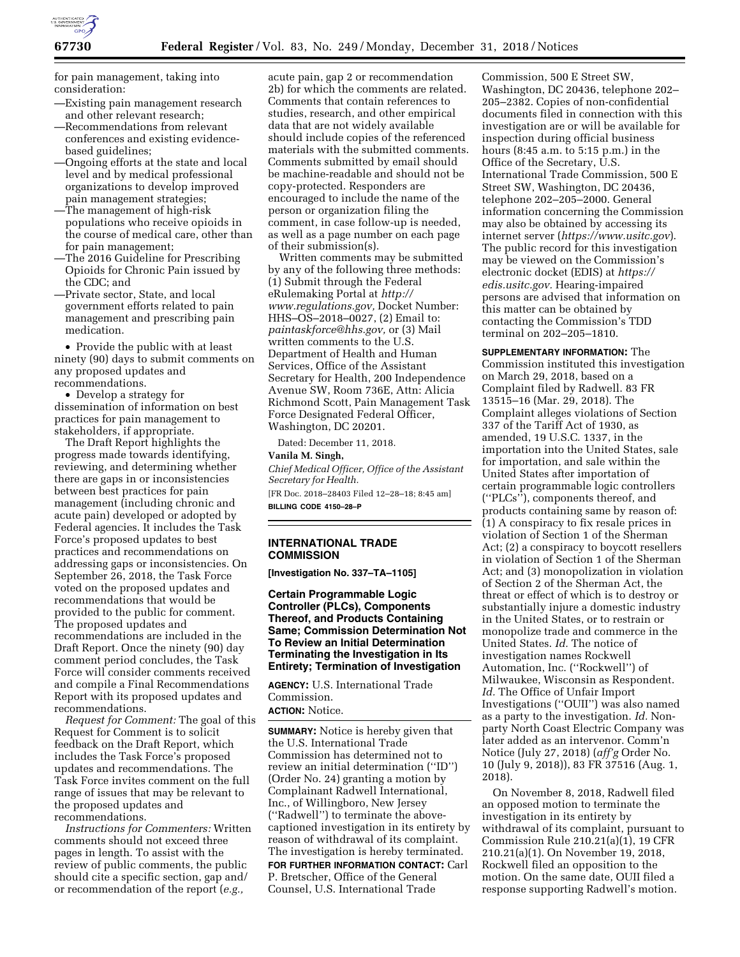

for pain management, taking into consideration:

- —Existing pain management research and other relevant research;
- —Recommendations from relevant conferences and existing evidencebased guidelines;
- —Ongoing efforts at the state and local level and by medical professional organizations to develop improved pain management strategies;
- —The management of high-risk populations who receive opioids in the course of medical care, other than for pain management;
- —The 2016 Guideline for Prescribing Opioids for Chronic Pain issued by the CDC; and
- —Private sector, State, and local government efforts related to pain management and prescribing pain medication.

• Provide the public with at least ninety (90) days to submit comments on any proposed updates and recommendations.

• Develop a strategy for dissemination of information on best practices for pain management to stakeholders, if appropriate.

The Draft Report highlights the progress made towards identifying, reviewing, and determining whether there are gaps in or inconsistencies between best practices for pain management (including chronic and acute pain) developed or adopted by Federal agencies. It includes the Task Force's proposed updates to best practices and recommendations on addressing gaps or inconsistencies. On September 26, 2018, the Task Force voted on the proposed updates and recommendations that would be provided to the public for comment. The proposed updates and recommendations are included in the Draft Report. Once the ninety (90) day comment period concludes, the Task Force will consider comments received and compile a Final Recommendations Report with its proposed updates and recommendations.

*Request for Comment:* The goal of this Request for Comment is to solicit feedback on the Draft Report, which includes the Task Force's proposed updates and recommendations. The Task Force invites comment on the full range of issues that may be relevant to the proposed updates and recommendations.

*Instructions for Commenters:* Written comments should not exceed three pages in length. To assist with the review of public comments, the public should cite a specific section, gap and/ or recommendation of the report (*e.g.,* 

acute pain, gap 2 or recommendation 2b) for which the comments are related. Comments that contain references to studies, research, and other empirical data that are not widely available should include copies of the referenced materials with the submitted comments. Comments submitted by email should be machine-readable and should not be copy-protected. Responders are encouraged to include the name of the person or organization filing the comment, in case follow-up is needed, as well as a page number on each page of their submission(s).

Written comments may be submitted by any of the following three methods: (1) Submit through the Federal eRulemaking Portal at *[http://](http://www.regulations.gov) [www.regulations.gov,](http://www.regulations.gov)* Docket Number: HHS–OS–2018–0027, (2) Email to: *[paintaskforce@hhs.gov](mailto:paintaskforce@hhs.gov),* or (3) Mail written comments to the U.S. Department of Health and Human Services, Office of the Assistant Secretary for Health, 200 Independence Avenue SW, Room 736E, Attn: Alicia Richmond Scott, Pain Management Task Force Designated Federal Officer, Washington, DC 20201.

Dated: December 11, 2018.

**Vanila M. Singh,**  *Chief Medical Officer, Office of the Assistant Secretary for Health.*  [FR Doc. 2018–28403 Filed 12–28–18; 8:45 am] **BILLING CODE 4150–28–P** 

# **INTERNATIONAL TRADE COMMISSION**

**[Investigation No. 337–TA–1105]** 

**Certain Programmable Logic Controller (PLCs), Components Thereof, and Products Containing Same; Commission Determination Not To Review an Initial Determination Terminating the Investigation in Its Entirety; Termination of Investigation** 

**AGENCY:** U.S. International Trade Commission. **ACTION:** Notice.

**SUMMARY:** Notice is hereby given that the U.S. International Trade Commission has determined not to review an initial determination (''ID'') (Order No. 24) granting a motion by Complainant Radwell International, Inc., of Willingboro, New Jersey (''Radwell'') to terminate the abovecaptioned investigation in its entirety by reason of withdrawal of its complaint. The investigation is hereby terminated. **FOR FURTHER INFORMATION CONTACT:** Carl P. Bretscher, Office of the General Counsel, U.S. International Trade

Commission, 500 E Street SW, Washington, DC 20436, telephone 202– 205–2382. Copies of non-confidential documents filed in connection with this investigation are or will be available for inspection during official business hours (8:45 a.m. to 5:15 p.m.) in the Office of the Secretary, U.S. International Trade Commission, 500 E Street SW, Washington, DC 20436, telephone 202–205–2000. General information concerning the Commission may also be obtained by accessing its internet server (*<https://www.usitc.gov>*). The public record for this investigation may be viewed on the Commission's electronic docket (EDIS) at *[https://](https://edis.usitc.gov) [edis.usitc.gov.](https://edis.usitc.gov)* Hearing-impaired persons are advised that information on this matter can be obtained by contacting the Commission's TDD terminal on 202–205–1810.

**SUPPLEMENTARY INFORMATION:** The Commission instituted this investigation on March 29, 2018, based on a Complaint filed by Radwell. 83 FR 13515–16 (Mar. 29, 2018). The Complaint alleges violations of Section 337 of the Tariff Act of 1930, as amended, 19 U.S.C. 1337, in the importation into the United States, sale for importation, and sale within the United States after importation of certain programmable logic controllers (''PLCs''), components thereof, and products containing same by reason of: (1) A conspiracy to fix resale prices in violation of Section 1 of the Sherman Act; (2) a conspiracy to boycott resellers in violation of Section 1 of the Sherman Act; and (3) monopolization in violation of Section 2 of the Sherman Act, the threat or effect of which is to destroy or substantially injure a domestic industry in the United States, or to restrain or monopolize trade and commerce in the United States. *Id.* The notice of investigation names Rockwell Automation, Inc. (''Rockwell'') of Milwaukee, Wisconsin as Respondent. *Id.* The Office of Unfair Import Investigations (''OUII'') was also named as a party to the investigation. *Id.* Nonparty North Coast Electric Company was later added as an intervenor. Comm'n Notice (July 27, 2018) (*aff'g* Order No. 10 (July 9, 2018)), 83 FR 37516 (Aug. 1, 2018).

On November 8, 2018, Radwell filed an opposed motion to terminate the investigation in its entirety by withdrawal of its complaint, pursuant to Commission Rule 210.21(a)(1), 19 CFR 210.21(a)(1). On November 19, 2018, Rockwell filed an opposition to the motion. On the same date, OUII filed a response supporting Radwell's motion.